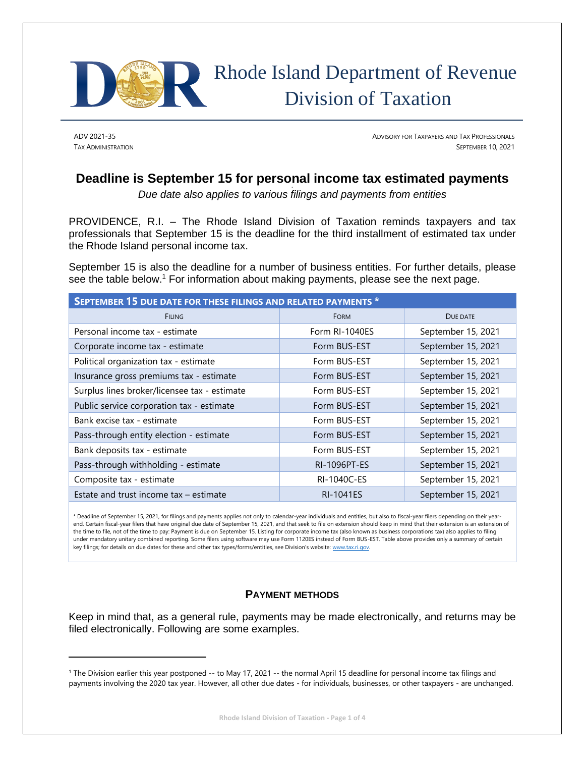

# Rhode Island Department of Revenue Division of Taxation

ADV 2021-35 ADVISORY FOR TAXPAYERS AND TAX PROFESSIONALS TAX ADMINISTRATION SEPTEMBER 10, 2021

## **Deadline is September 15 for personal income tax estimated payments**

*Due date also applies to various filings and payments from entities* 

PROVIDENCE, R.I. – The Rhode Island Division of Taxation reminds taxpayers and tax professionals that September 15 is the deadline for the third installment of estimated tax under the Rhode Island personal income tax.

September 15 is also the deadline for a number of business entities. For further details, please see the table below.<sup>1</sup> For information about making payments, please see the next page.

| SEPTEMBER 15 DUE DATE FOR THESE FILINGS AND RELATED PAYMENTS * |                     |                    |  |
|----------------------------------------------------------------|---------------------|--------------------|--|
| <b>FILING</b>                                                  | <b>FORM</b>         | DUE DATE           |  |
| Personal income tax - estimate                                 | Form RI-1040ES      | September 15, 2021 |  |
| Corporate income tax - estimate                                | Form BUS-EST        | September 15, 2021 |  |
| Political organization tax - estimate                          | Form BUS-EST        | September 15, 2021 |  |
| Insurance gross premiums tax - estimate                        | Form BUS-EST        | September 15, 2021 |  |
| Surplus lines broker/licensee tax - estimate                   | Form BUS-EST        | September 15, 2021 |  |
| Public service corporation tax - estimate                      | Form BUS-EST        | September 15, 2021 |  |
| Bank excise tax - estimate                                     | Form BUS-EST        | September 15, 2021 |  |
| Pass-through entity election - estimate                        | Form BUS-EST        | September 15, 2021 |  |
| Bank deposits tax - estimate                                   | Form BUS-EST        | September 15, 2021 |  |
| Pass-through withholding - estimate                            | <b>RI-1096PT-ES</b> | September 15, 2021 |  |
| Composite tax - estimate                                       | RI-1040C-ES         | September 15, 2021 |  |
| Estate and trust income tax - estimate                         | <b>RI-1041ES</b>    | September 15, 2021 |  |

\* Deadline of September 15, 2021, for filings and payments applies not only to calendar-year individuals and entities, but also to fiscal-year filers depending on their yearend. Certain fiscal-year filers that have original due date of September 15, 2021, and that seek to file on extension should keep in mind that their extension is an extension of the time to file, not of the time to pay: Payment is due on September 15. Listing for corporate income tax (also known as business corporations tax) also applies to filing under mandatory unitary combined reporting. Some filers using software may use Form 1120ES instead of Form BUS-EST. Table above provides only a summary of certain key filings; for details on due dates for these and other tax types/forms/entities, see Division's website: [www.tax.ri.gov](http://www.tax.ri.gov/).

### **PAYMENT METHODS**

Keep in mind that, as a general rule, payments may be made electronically, and returns may be filed electronically. Following are some examples.

<sup>1</sup> The Division earlier this year postponed -- to May 17, 2021 -- the normal April 15 deadline for personal income tax filings and payments involving the 2020 tax year. However, all other due dates - for individuals, businesses, or other taxpayers - are unchanged.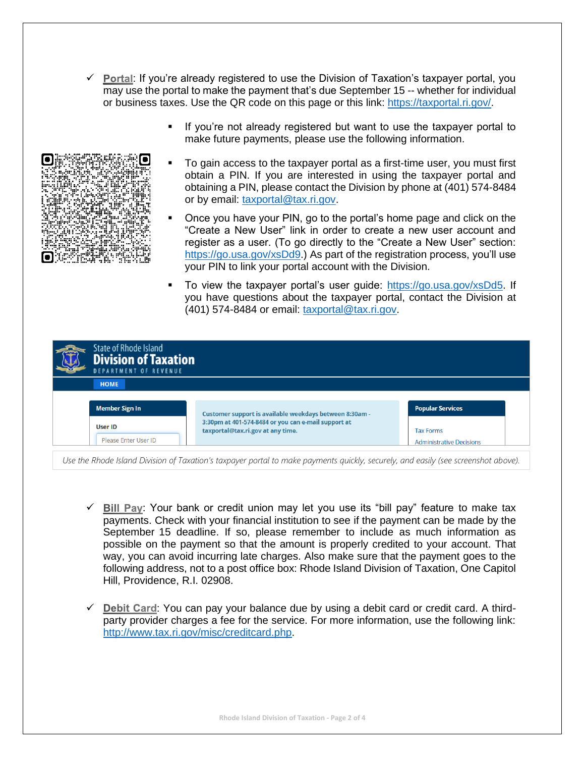- $\checkmark$  Portal: If you're already registered to use the Division of Taxation's taxpayer portal, you may use the portal to make the payment that's due September 15 -- whether for individual or business taxes. Use the QR code on this page or this link: [https://taxportal.ri.gov/.](https://taxportal.ri.gov/)
	- If you're not already registered but want to use the taxpayer portal to make future payments, please use the following information.
	- To gain access to the taxpayer portal as a first-time user, you must first obtain a PIN. If you are interested in using the taxpayer portal and obtaining a PIN, please contact the Division by phone at (401) 574-8484 or by email: [taxportal@tax.ri.gov.](mailto:taxportal@tax.ri.gov)
	- Once you have your PIN, go to the portal's home page and click on the "Create a New User" link in order to create a new user account and register as a user. (To go directly to the "Create a New User" section: [https://go.usa.gov/xsDd9.](https://go.usa.gov/xsDd9)) As part of the registration process, you'll use your PIN to link your portal account with the Division.
	- To view the taxpayer portal's user guide: [https://go.usa.gov/xsDd5.](https://go.usa.gov/xsDd5) If you have questions about the taxpayer portal, contact the Division at (401) 574-8484 or email: [taxportal@tax.ri.gov.](mailto:taxportal@tax.ri.gov)

| <b>State of Rhode Island</b><br><b>Division of Taxation</b><br><b>DEPARTMENT OF REVENUE</b> |                                                                                          |                                                     |
|---------------------------------------------------------------------------------------------|------------------------------------------------------------------------------------------|-----------------------------------------------------|
| <b>HOME</b>                                                                                 |                                                                                          |                                                     |
| <b>Member Sign In</b>                                                                       | Customer support is available weekdays between 8:30am -                                  | <b>Popular Services</b>                             |
| <b>User ID</b><br>Please Enter User ID                                                      | 3:30pm at 401-574-8484 or you can e-mail support at<br>taxportal@tax.ri.gov at any time. | <b>Tax Forms</b><br><b>Administrative Decisions</b> |

*Use the Rhode Island Division of Taxation's taxpayer portal to make payments quickly, securely, and easily (see screenshot above).*

- √ Bill Pay: Your bank or credit union may let you use its "bill pay" feature to make tax payments. Check with your financial institution to see if the payment can be made by the September 15 deadline. If so, please remember to include as much information as possible on the payment so that the amount is properly credited to your account. That way, you can avoid incurring late charges. Also make sure that the payment goes to the following address, not to a post office box: Rhode Island Division of Taxation, One Capitol Hill, Providence, R.I. 02908.
- $\checkmark$  Debit Card: You can pay your balance due by using a debit card or credit card. A thirdparty provider charges a fee for the service. For more information, use the following link: [http://www.tax.ri.gov/misc/creditcard.php.](http://www.tax.ri.gov/misc/creditcard.php)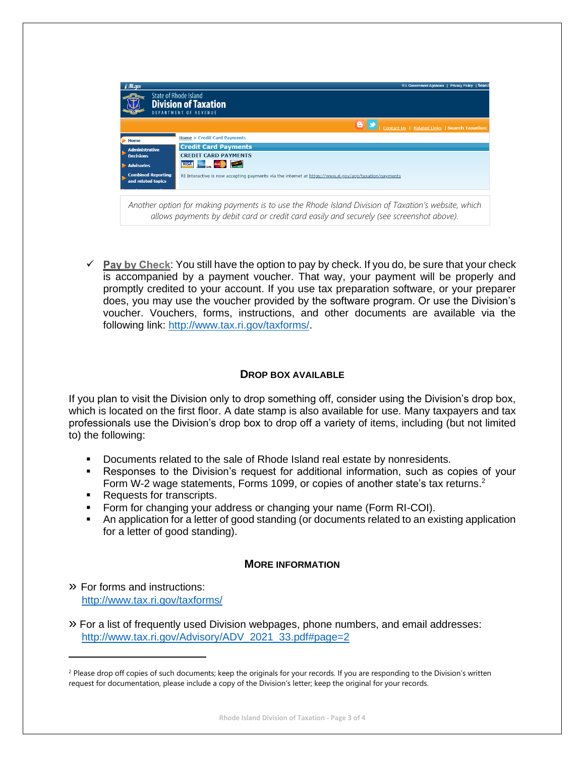| <b>NRI.gov</b>                                  | <b>R.I. Government Agencies   Privacy Policy   Searc</b>                                                                                                                                        |
|-------------------------------------------------|-------------------------------------------------------------------------------------------------------------------------------------------------------------------------------------------------|
|                                                 | <b>State of Rhode Island</b><br><b>Division of Taxation</b><br>DEPARTMENT OF REVENUE                                                                                                            |
|                                                 | Contact Us   Related Links   Search Taxation:                                                                                                                                                   |
| <b>Home</b>                                     | <b>Home &gt; Credit Card Payments</b>                                                                                                                                                           |
| <b>Administrative</b><br><b>Decisions</b>       | <b>Credit Card Payments</b>                                                                                                                                                                     |
|                                                 | <b>CREDIT CARD PAYMENTS</b>                                                                                                                                                                     |
| <b>Advisories</b>                               | <b>VISA</b><br><b><i><u>PORTA</u></i></b><br>MasterCard                                                                                                                                         |
| <b>Combined Reporting</b><br>and related topics | RI Interactive is now accepting payments via the internet at https://www.ri.gov/app/taxation/payments                                                                                           |
|                                                 | Another option for making payments is to use the Rhode Island Division of Taxation's website, which<br>allows payments by debit card or credit card easily and securely (see screenshot above). |

 $\checkmark$  Pay by Check: You still have the option to pay by check. If you do, be sure that your check is accompanied by a payment voucher. That way, your payment will be properly and promptly credited to your account. If you use tax preparation software, or your preparer does, you may use the voucher provided by the software program. Or use the Division's voucher. Vouchers, forms, instructions, and other documents are available via the following link: [http://www.tax.ri.gov/taxforms/.](http://www.tax.ri.gov/taxforms/)

#### **DROP BOX AVAILABLE**

If you plan to visit the Division only to drop something off, consider using the Division's drop box, which is located on the first floor. A date stamp is also available for use. Many taxpayers and tax professionals use the Division's drop box to drop off a variety of items, including (but not limited to) the following:

- Documents related to the sale of Rhode Island real estate by nonresidents.
- **EXE** Responses to the Division's request for additional information, such as copies of your Form W-2 wage statements, Forms 1099, or copies of another state's tax returns.<sup>2</sup>
- Requests for transcripts.
- **•** Form for changing your address or changing your name (Form RI-COI).
- An application for a letter of good standing (or documents related to an existing application for a letter of good standing).

#### **MORE INFORMATION**

- » For forms and instructions: <http://www.tax.ri.gov/taxforms/>
- » For a list of frequently used Division webpages, phone numbers, and email addresses: [http://www.tax.ri.gov/Advisory/ADV\\_2021\\_33.pdf#page=2](http://www.tax.ri.gov/Advisory/ADV_2021_33.pdf#page=2)

<sup>&</sup>lt;sup>2</sup> Please drop off copies of such documents; keep the originals for your records. If you are responding to the Division's written request for documentation, please include a copy of the Division's letter; keep the original for your records.